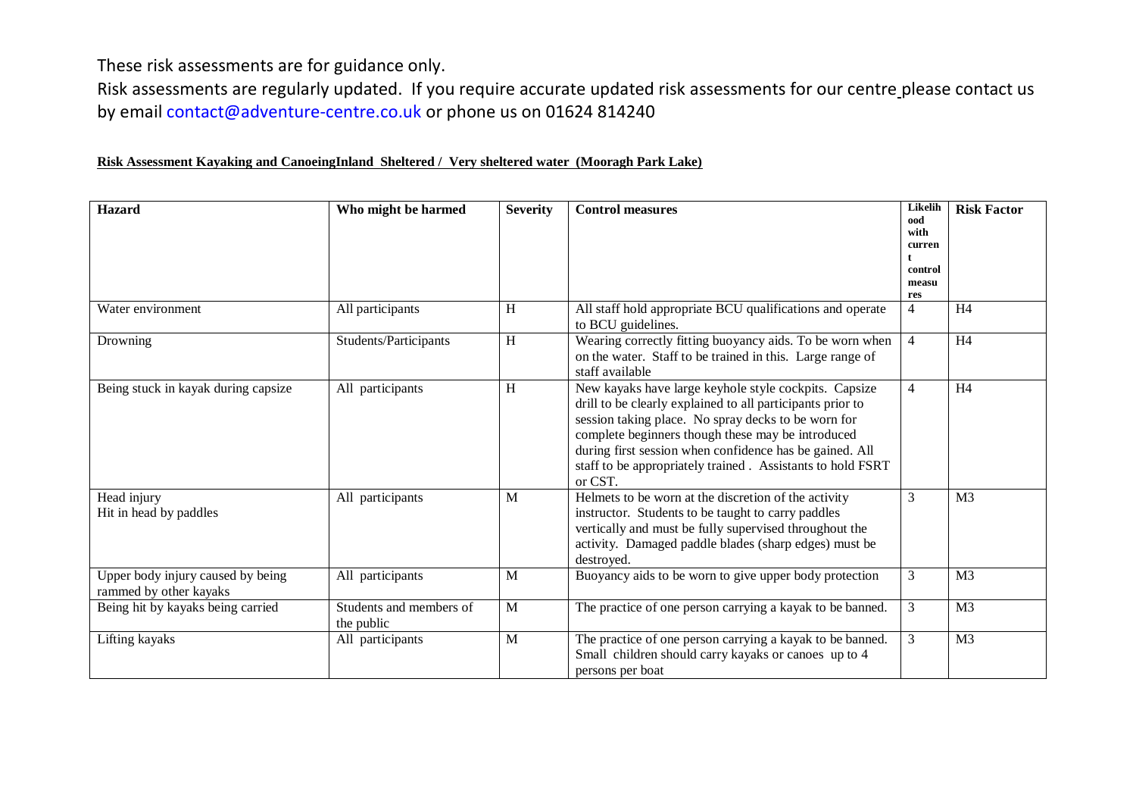These risk assessments are for guidance only.

Risk assessments are regularly updated. If you require accurate updated risk assessments for our centre please contact us by email [contact@adventure-centre.co.uk](mailto:contact@adventure-centre.co.uk) or phone us on 01624 814240

## **Risk Assessment Kayaking and CanoeingInland Sheltered / Very sheltered water (Mooragh Park Lake)**

| <b>Hazard</b>                                               | Who might be harmed                   | <b>Severity</b> | <b>Control measures</b>                                                                                                                                                                                                                                                                                                                                             | Likelih<br>ood<br>with<br>curren<br>control<br>measu<br>res | <b>Risk Factor</b> |
|-------------------------------------------------------------|---------------------------------------|-----------------|---------------------------------------------------------------------------------------------------------------------------------------------------------------------------------------------------------------------------------------------------------------------------------------------------------------------------------------------------------------------|-------------------------------------------------------------|--------------------|
| Water environment                                           | All participants                      | H               | All staff hold appropriate BCU qualifications and operate<br>to BCU guidelines.                                                                                                                                                                                                                                                                                     | $\overline{4}$                                              | H <sub>4</sub>     |
| Drowning                                                    | Students/Participants                 | H               | Wearing correctly fitting buoyancy aids. To be worn when<br>on the water. Staff to be trained in this. Large range of<br>staff available                                                                                                                                                                                                                            | $\overline{4}$                                              | H <sub>4</sub>     |
| Being stuck in kayak during capsize                         | All participants                      | H               | New kayaks have large keyhole style cockpits. Capsize<br>drill to be clearly explained to all participants prior to<br>session taking place. No spray decks to be worn for<br>complete beginners though these may be introduced<br>during first session when confidence has be gained. All<br>staff to be appropriately trained. Assistants to hold FSRT<br>or CST. | $\overline{4}$                                              | H <sub>4</sub>     |
| Head injury<br>Hit in head by paddles                       | All participants                      | M               | Helmets to be worn at the discretion of the activity<br>instructor. Students to be taught to carry paddles<br>vertically and must be fully supervised throughout the<br>activity. Damaged paddle blades (sharp edges) must be<br>destroyed.                                                                                                                         | $\mathfrak{Z}$                                              | M <sub>3</sub>     |
| Upper body injury caused by being<br>rammed by other kayaks | All participants                      | M               | Buoyancy aids to be worn to give upper body protection                                                                                                                                                                                                                                                                                                              | $\overline{3}$                                              | M <sub>3</sub>     |
| Being hit by kayaks being carried                           | Students and members of<br>the public | M               | The practice of one person carrying a kayak to be banned.                                                                                                                                                                                                                                                                                                           | $\mathfrak{Z}$                                              | M <sub>3</sub>     |
| Lifting kayaks                                              | All participants                      | M               | The practice of one person carrying a kayak to be banned.<br>Small children should carry kayaks or canoes up to 4<br>persons per boat                                                                                                                                                                                                                               | $\overline{3}$                                              | M <sub>3</sub>     |